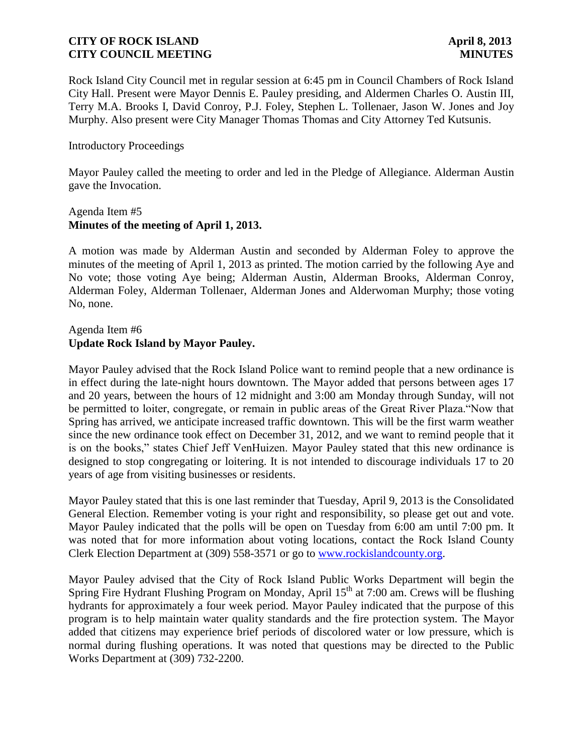Rock Island City Council met in regular session at 6:45 pm in Council Chambers of Rock Island City Hall. Present were Mayor Dennis E. Pauley presiding, and Aldermen Charles O. Austin III, Terry M.A. Brooks I, David Conroy, P.J. Foley, Stephen L. Tollenaer, Jason W. Jones and Joy Murphy. Also present were City Manager Thomas Thomas and City Attorney Ted Kutsunis.

### Introductory Proceedings

Mayor Pauley called the meeting to order and led in the Pledge of Allegiance. Alderman Austin gave the Invocation.

### Agenda Item #5 **Minutes of the meeting of April 1, 2013.**

A motion was made by Alderman Austin and seconded by Alderman Foley to approve the minutes of the meeting of April 1, 2013 as printed. The motion carried by the following Aye and No vote; those voting Aye being; Alderman Austin, Alderman Brooks, Alderman Conroy, Alderman Foley, Alderman Tollenaer, Alderman Jones and Alderwoman Murphy; those voting No, none.

# Agenda Item #6 **Update Rock Island by Mayor Pauley.**

Mayor Pauley advised that the Rock Island Police want to remind people that a new ordinance is in effect during the late-night hours downtown. The Mayor added that persons between ages 17 and 20 years, between the hours of 12 midnight and 3:00 am Monday through Sunday, will not be permitted to loiter, congregate, or remain in public areas of the Great River Plaza."Now that Spring has arrived, we anticipate increased traffic downtown. This will be the first warm weather since the new ordinance took effect on December 31, 2012, and we want to remind people that it is on the books," states Chief Jeff VenHuizen. Mayor Pauley stated that this new ordinance is designed to stop congregating or loitering. It is not intended to discourage individuals 17 to 20 years of age from visiting businesses or residents.

Mayor Pauley stated that this is one last reminder that Tuesday, April 9, 2013 is the Consolidated General Election. Remember voting is your right and responsibility, so please get out and vote. Mayor Pauley indicated that the polls will be open on Tuesday from 6:00 am until 7:00 pm. It was noted that for more information about voting locations, contact the Rock Island County Clerk Election Department at (309) 558-3571 or go to [www.rockislandcounty.org.](http://www.rockislandcounty.org/)

Mayor Pauley advised that the City of Rock Island Public Works Department will begin the Spring Fire Hydrant Flushing Program on Monday, April  $15<sup>th</sup>$  at 7:00 am. Crews will be flushing hydrants for approximately a four week period. Mayor Pauley indicated that the purpose of this program is to help maintain water quality standards and the fire protection system. The Mayor added that citizens may experience brief periods of discolored water or low pressure, which is normal during flushing operations. It was noted that questions may be directed to the Public Works Department at (309) 732-2200.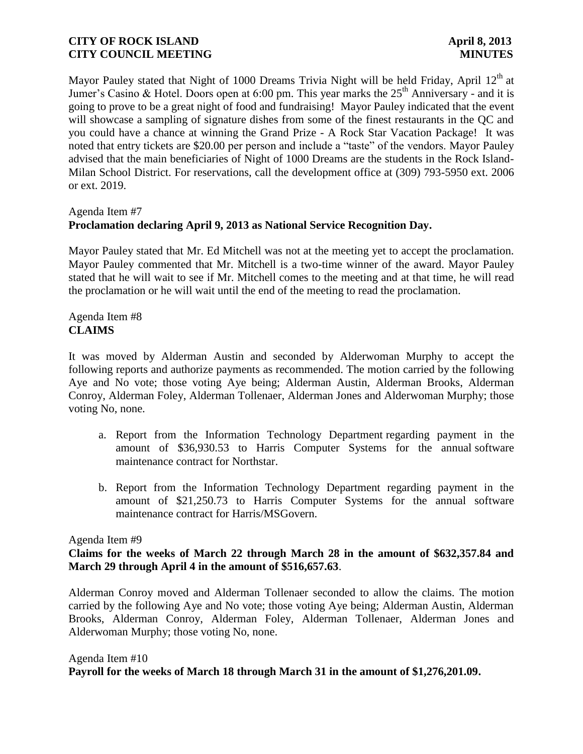Mayor Pauley stated that Night of 1000 Dreams Trivia Night will be held Friday, April 12<sup>th</sup> at Jumer's Casino & Hotel. Doors open at 6:00 pm. This year marks the  $25<sup>th</sup>$  Anniversary - and it is going to prove to be a great night of food and fundraising! Mayor Pauley indicated that the event will showcase a sampling of signature dishes from some of the finest restaurants in the QC and you could have a chance at winning the Grand Prize - A Rock Star Vacation Package! It was noted that entry tickets are \$20.00 per person and include a "taste" of the vendors. Mayor Pauley advised that the main beneficiaries of Night of 1000 Dreams are the students in the Rock Island-Milan School District. For reservations, call the development office at (309) 793-5950 ext. 2006 or ext. 2019.

#### Agenda Item #7

# **Proclamation declaring April 9, 2013 as National Service Recognition Day.**

Mayor Pauley stated that Mr. Ed Mitchell was not at the meeting yet to accept the proclamation. Mayor Pauley commented that Mr. Mitchell is a two-time winner of the award. Mayor Pauley stated that he will wait to see if Mr. Mitchell comes to the meeting and at that time, he will read the proclamation or he will wait until the end of the meeting to read the proclamation.

### Agenda Item #8 **CLAIMS**

It was moved by Alderman Austin and seconded by Alderwoman Murphy to accept the following reports and authorize payments as recommended. The motion carried by the following Aye and No vote; those voting Aye being; Alderman Austin, Alderman Brooks, Alderman Conroy, Alderman Foley, Alderman Tollenaer, Alderman Jones and Alderwoman Murphy; those voting No, none.

- a. Report from the Information Technology Department regarding payment in the amount of \$36,930.53 to Harris Computer Systems for the annual software maintenance contract for Northstar.
- b. Report from the Information Technology Department regarding payment in the amount of \$21,250.73 to Harris Computer Systems for the annual software maintenance contract for Harris/MSGovern.

### Agenda Item #9

# **Claims for the weeks of March 22 through March 28 in the amount of \$632,357.84 and March 29 through April 4 in the amount of \$516,657.63**.

 Alderman Conroy moved and Alderman Tollenaer seconded to allow the claims. The motion carried by the following Aye and No vote; those voting Aye being; Alderman Austin, Alderman Brooks, Alderman Conroy, Alderman Foley, Alderman Tollenaer, Alderman Jones and Alderwoman Murphy; those voting No, none.

# Agenda Item #10 **Payroll for the weeks of March 18 through March 31 in the amount of \$1,276,201.09.**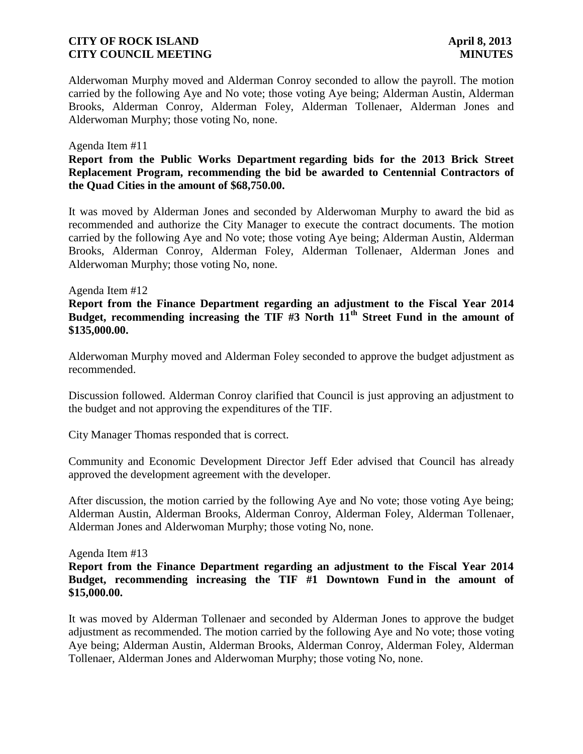Alderwoman Murphy moved and Alderman Conroy seconded to allow the payroll. The motion carried by the following Aye and No vote; those voting Aye being; Alderman Austin, Alderman Brooks, Alderman Conroy, Alderman Foley, Alderman Tollenaer, Alderman Jones and Alderwoman Murphy; those voting No, none.

#### Agenda Item #11

**Report from the Public Works Department regarding bids for the 2013 Brick Street Replacement Program, recommending the bid be awarded to Centennial Contractors of the Quad Cities in the amount of \$68,750.00.**

It was moved by Alderman Jones and seconded by Alderwoman Murphy to award the bid as recommended and authorize the City Manager to execute the contract documents. The motion carried by the following Aye and No vote; those voting Aye being; Alderman Austin, Alderman Brooks, Alderman Conroy, Alderman Foley, Alderman Tollenaer, Alderman Jones and Alderwoman Murphy; those voting No, none.

#### Agenda Item #12

## **Report from the Finance Department regarding an adjustment to the Fiscal Year 2014 Budget, recommending increasing the TIF #3 North 11th Street Fund in the amount of \$135,000.00.**

Alderwoman Murphy moved and Alderman Foley seconded to approve the budget adjustment as recommended.

Discussion followed. Alderman Conroy clarified that Council is just approving an adjustment to the budget and not approving the expenditures of the TIF.

City Manager Thomas responded that is correct.

Community and Economic Development Director Jeff Eder advised that Council has already approved the development agreement with the developer.

After discussion, the motion carried by the following Aye and No vote; those voting Aye being; Alderman Austin, Alderman Brooks, Alderman Conroy, Alderman Foley, Alderman Tollenaer, Alderman Jones and Alderwoman Murphy; those voting No, none.

Agenda Item #13

**Report from the Finance Department regarding an adjustment to the Fiscal Year 2014 Budget, recommending increasing the TIF #1 Downtown Fund in the amount of \$15,000.00.**

It was moved by Alderman Tollenaer and seconded by Alderman Jones to approve the budget adjustment as recommended. The motion carried by the following Aye and No vote; those voting Aye being; Alderman Austin, Alderman Brooks, Alderman Conroy, Alderman Foley, Alderman Tollenaer, Alderman Jones and Alderwoman Murphy; those voting No, none.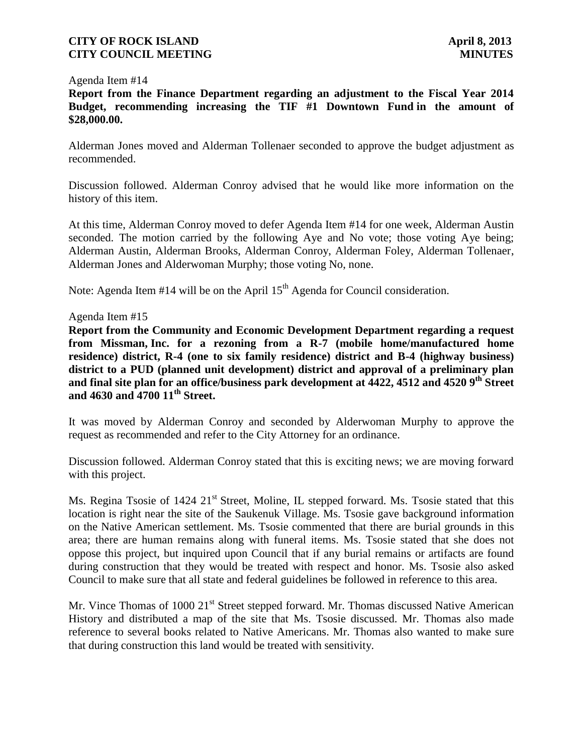#### Agenda Item #14

**Report from the Finance Department regarding an adjustment to the Fiscal Year 2014 Budget, recommending increasing the TIF #1 Downtown Fund in the amount of \$28,000.00.**

Alderman Jones moved and Alderman Tollenaer seconded to approve the budget adjustment as recommended.

Discussion followed. Alderman Conroy advised that he would like more information on the history of this item.

At this time, Alderman Conroy moved to defer Agenda Item #14 for one week, Alderman Austin seconded. The motion carried by the following Aye and No vote; those voting Aye being; Alderman Austin, Alderman Brooks, Alderman Conroy, Alderman Foley, Alderman Tollenaer, Alderman Jones and Alderwoman Murphy; those voting No, none.

Note: Agenda Item  $#14$  will be on the April  $15<sup>th</sup>$  Agenda for Council consideration.

### Agenda Item #15

**Report from the Community and Economic Development Department regarding a request from Missman, Inc. for a rezoning from a R-7 (mobile home/manufactured home residence) district, R-4 (one to six family residence) district and B-4 (highway business) district to a PUD (planned unit development) district and approval of a preliminary plan and final site plan for an office/business park development at 4422, 4512 and 4520 9th Street and 4630 and 4700 11th Street.**

It was moved by Alderman Conroy and seconded by Alderwoman Murphy to approve the request as recommended and refer to the City Attorney for an ordinance.

Discussion followed. Alderman Conroy stated that this is exciting news; we are moving forward with this project.

Ms. Regina Tsosie of 1424 21<sup>st</sup> Street, Moline, IL stepped forward. Ms. Tsosie stated that this location is right near the site of the Saukenuk Village. Ms. Tsosie gave background information on the Native American settlement. Ms. Tsosie commented that there are burial grounds in this area; there are human remains along with funeral items. Ms. Tsosie stated that she does not oppose this project, but inquired upon Council that if any burial remains or artifacts are found during construction that they would be treated with respect and honor. Ms. Tsosie also asked Council to make sure that all state and federal guidelines be followed in reference to this area.

Mr. Vince Thomas of 1000 21<sup>st</sup> Street stepped forward. Mr. Thomas discussed Native American History and distributed a map of the site that Ms. Tsosie discussed. Mr. Thomas also made reference to several books related to Native Americans. Mr. Thomas also wanted to make sure that during construction this land would be treated with sensitivity.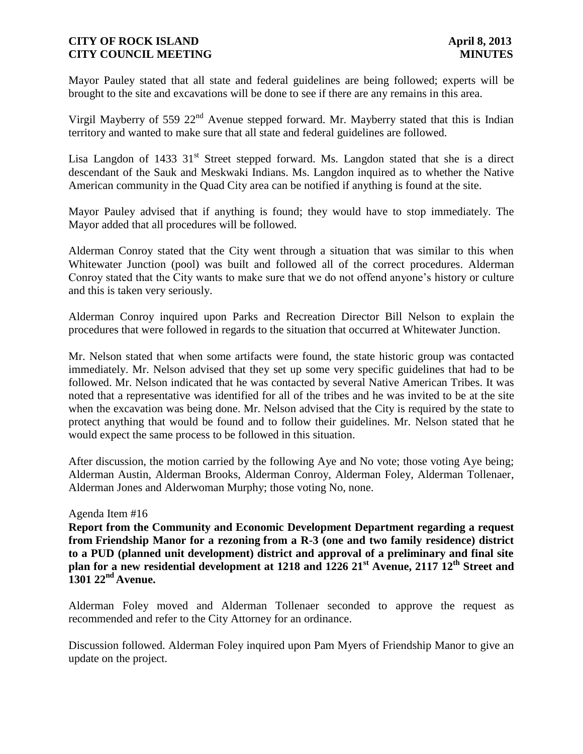Mayor Pauley stated that all state and federal guidelines are being followed; experts will be brought to the site and excavations will be done to see if there are any remains in this area.

Virgil Mayberry of 559 22<sup>nd</sup> Avenue stepped forward. Mr. Mayberry stated that this is Indian territory and wanted to make sure that all state and federal guidelines are followed.

Lisa Langdon of 1433  $31<sup>st</sup>$  Street stepped forward. Ms. Langdon stated that she is a direct descendant of the Sauk and Meskwaki Indians. Ms. Langdon inquired as to whether the Native American community in the Quad City area can be notified if anything is found at the site.

Mayor Pauley advised that if anything is found; they would have to stop immediately. The Mayor added that all procedures will be followed.

Alderman Conroy stated that the City went through a situation that was similar to this when Whitewater Junction (pool) was built and followed all of the correct procedures. Alderman Conroy stated that the City wants to make sure that we do not offend anyone's history or culture and this is taken very seriously.

Alderman Conroy inquired upon Parks and Recreation Director Bill Nelson to explain the procedures that were followed in regards to the situation that occurred at Whitewater Junction.

Mr. Nelson stated that when some artifacts were found, the state historic group was contacted immediately. Mr. Nelson advised that they set up some very specific guidelines that had to be followed. Mr. Nelson indicated that he was contacted by several Native American Tribes. It was noted that a representative was identified for all of the tribes and he was invited to be at the site when the excavation was being done. Mr. Nelson advised that the City is required by the state to protect anything that would be found and to follow their guidelines. Mr. Nelson stated that he would expect the same process to be followed in this situation.

After discussion, the motion carried by the following Aye and No vote; those voting Aye being; Alderman Austin, Alderman Brooks, Alderman Conroy, Alderman Foley, Alderman Tollenaer, Alderman Jones and Alderwoman Murphy; those voting No, none.

### Agenda Item #16

**Report from the Community and Economic Development Department regarding a request from Friendship Manor for a rezoning from a R-3 (one and two family residence) district to a PUD (planned unit development) district and approval of a preliminary and final site plan for a new residential development at 1218 and 1226 21st Avenue, 2117 12th Street and 1301 22nd Avenue.**

Alderman Foley moved and Alderman Tollenaer seconded to approve the request as recommended and refer to the City Attorney for an ordinance.

Discussion followed. Alderman Foley inquired upon Pam Myers of Friendship Manor to give an update on the project.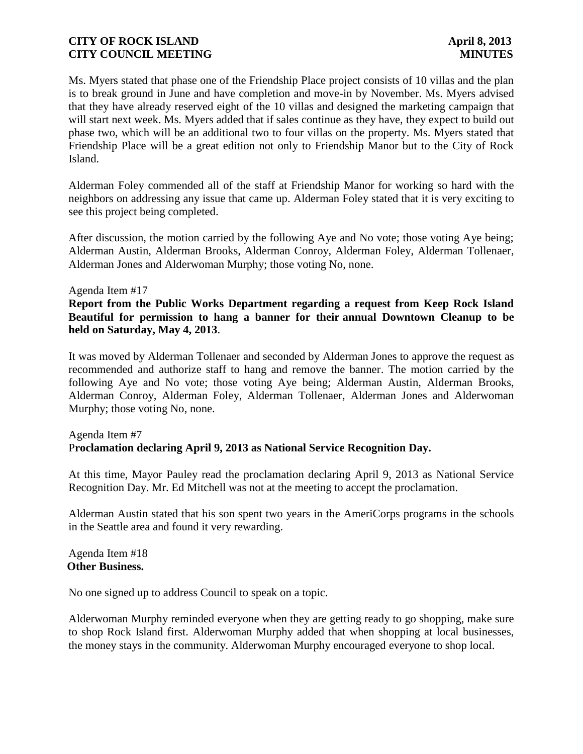Ms. Myers stated that phase one of the Friendship Place project consists of 10 villas and the plan is to break ground in June and have completion and move-in by November. Ms. Myers advised that they have already reserved eight of the 10 villas and designed the marketing campaign that will start next week. Ms. Myers added that if sales continue as they have, they expect to build out phase two, which will be an additional two to four villas on the property. Ms. Myers stated that Friendship Place will be a great edition not only to Friendship Manor but to the City of Rock Island.

Alderman Foley commended all of the staff at Friendship Manor for working so hard with the neighbors on addressing any issue that came up. Alderman Foley stated that it is very exciting to see this project being completed.

After discussion, the motion carried by the following Aye and No vote; those voting Aye being; Alderman Austin, Alderman Brooks, Alderman Conroy, Alderman Foley, Alderman Tollenaer, Alderman Jones and Alderwoman Murphy; those voting No, none.

#### Agenda Item #17

**Report from the Public Works Department regarding a request from Keep Rock Island Beautiful for permission to hang a banner for their annual Downtown Cleanup to be held on Saturday, May 4, 2013**.

It was moved by Alderman Tollenaer and seconded by Alderman Jones to approve the request as recommended and authorize staff to hang and remove the banner. The motion carried by the following Aye and No vote; those voting Aye being; Alderman Austin, Alderman Brooks, Alderman Conroy, Alderman Foley, Alderman Tollenaer, Alderman Jones and Alderwoman Murphy; those voting No, none.

# Agenda Item #7 P**roclamation declaring April 9, 2013 as National Service Recognition Day.**

At this time, Mayor Pauley read the proclamation declaring April 9, 2013 as National Service Recognition Day. Mr. Ed Mitchell was not at the meeting to accept the proclamation.

Alderman Austin stated that his son spent two years in the AmeriCorps programs in the schools in the Seattle area and found it very rewarding.

Agenda Item #18 **Other Business.**

No one signed up to address Council to speak on a topic.

Alderwoman Murphy reminded everyone when they are getting ready to go shopping, make sure to shop Rock Island first. Alderwoman Murphy added that when shopping at local businesses, the money stays in the community. Alderwoman Murphy encouraged everyone to shop local.